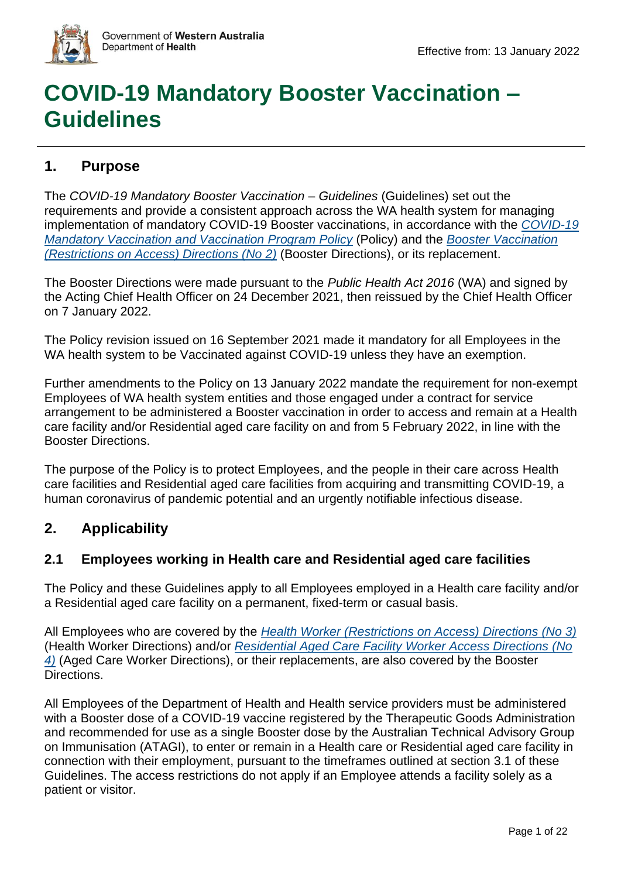

# **COVID-19 Mandatory Booster Vaccination – Guidelines**

# **1. Purpose**

The *COVID-19 Mandatory Booster Vaccination – Guidelines* (Guidelines) set out the requirements and provide a consistent approach across the WA health system for managing implementation of mandatory COVID-19 Booster vaccinations, in accordance with the *[COVID-19](https://ww2.health.wa.gov.au/~/media/Corp/Policy-Frameworks/Public-Health/COVID-19-Mandatory-Vaccination-and-Vaccination-Program-Policy/MP-015321-COVID19-Mandatory-Vaccination-and-Vaccination-Program-Policy.pdf)  [Mandatory Vaccination and Vaccination Program Policy](https://ww2.health.wa.gov.au/~/media/Corp/Policy-Frameworks/Public-Health/COVID-19-Mandatory-Vaccination-and-Vaccination-Program-Policy/MP-015321-COVID19-Mandatory-Vaccination-and-Vaccination-Program-Policy.pdf)* (Policy) and the *[Booster Vaccination](https://www.wa.gov.au/government/publications/booster-vaccination-restrictions-access-directions-no2)  [\(Restrictions on Access\) Directions \(No 2\)](https://www.wa.gov.au/government/publications/booster-vaccination-restrictions-access-directions-no2)* (Booster Directions), or its replacement.

The Booster Directions were made pursuant to the *Public Health Act 2016* (WA) and signed by the Acting Chief Health Officer on 24 December 2021, then reissued by the Chief Health Officer on 7 January 2022.

The Policy revision issued on 16 September 2021 made it mandatory for all Employees in the WA health system to be Vaccinated against COVID-19 unless they have an exemption.

Further amendments to the Policy on 13 January 2022 mandate the requirement for non-exempt Employees of WA health system entities and those engaged under a contract for service arrangement to be administered a Booster vaccination in order to access and remain at a Health care facility and/or Residential aged care facility on and from 5 February 2022, in line with the Booster Directions.

The purpose of the Policy is to protect Employees, and the people in their care across Health care facilities and Residential aged care facilities from acquiring and transmitting COVID-19, a human coronavirus of pandemic potential and an urgently notifiable infectious disease.

# **2. Applicability**

#### **2.1 Employees working in Health care and Residential aged care facilities**

The Policy and these Guidelines apply to all Employees employed in a Health care facility and/or a Residential aged care facility on a permanent, fixed-term or casual basis.

All Employees who are covered by the *[Health Worker \(Restrictions on Access\) Directions \(No 3\)](https://www.wa.gov.au/government/publications/health-worker-restrictions-access-directions-no-3)* (Health Worker Directions) and/or *[Residential Aged Care Facility Worker Access Directions](https://www.wa.gov.au/government/publications/residential-aged-care-facility-worker-access-directions-no-4) (No [4\)](https://www.wa.gov.au/government/publications/residential-aged-care-facility-worker-access-directions-no-4)* (Aged Care Worker Directions), or their replacements, are also covered by the Booster Directions.

All Employees of the Department of Health and Health service providers must be administered with a Booster dose of a COVID-19 vaccine registered by the Therapeutic Goods Administration and recommended for use as a single Booster dose by the Australian Technical Advisory Group on Immunisation (ATAGI), to enter or remain in a Health care or Residential aged care facility in connection with their employment, pursuant to the timeframes outlined at section 3.1 of these Guidelines. The access restrictions do not apply if an Employee attends a facility solely as a patient or visitor.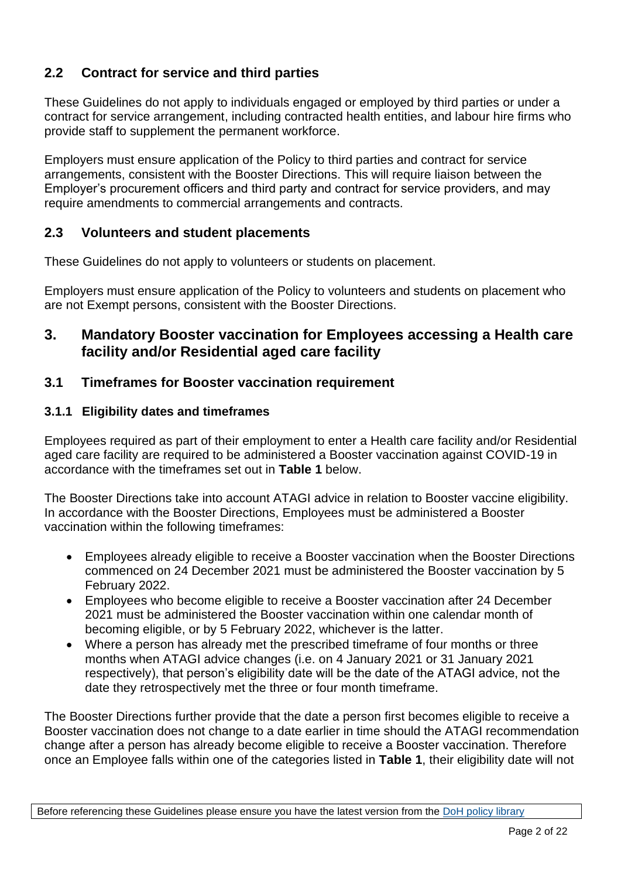# **2.2 Contract for service and third parties**

These Guidelines do not apply to individuals engaged or employed by third parties or under a contract for service arrangement, including contracted health entities, and labour hire firms who provide staff to supplement the permanent workforce.

Employers must ensure application of the Policy to third parties and contract for service arrangements, consistent with the Booster Directions. This will require liaison between the Employer's procurement officers and third party and contract for service providers, and may require amendments to commercial arrangements and contracts.

#### **2.3 Volunteers and student placements**

These Guidelines do not apply to volunteers or students on placement.

Employers must ensure application of the Policy to volunteers and students on placement who are not Exempt persons, consistent with the Booster Directions.

### **3. Mandatory Booster vaccination for Employees accessing a Health care facility and/or Residential aged care facility**

#### **3.1 Timeframes for Booster vaccination requirement**

#### **3.1.1 Eligibility dates and timeframes**

Employees required as part of their employment to enter a Health care facility and/or Residential aged care facility are required to be administered a Booster vaccination against COVID-19 in accordance with the timeframes set out in **Table 1** below.

The Booster Directions take into account ATAGI advice in relation to Booster vaccine eligibility. In accordance with the Booster Directions, Employees must be administered a Booster vaccination within the following timeframes:

- Employees already eligible to receive a Booster vaccination when the Booster Directions commenced on 24 December 2021 must be administered the Booster vaccination by 5 February 2022.
- Employees who become eligible to receive a Booster vaccination after 24 December 2021 must be administered the Booster vaccination within one calendar month of becoming eligible, or by 5 February 2022, whichever is the latter.
- Where a person has already met the prescribed timeframe of four months or three months when ATAGI advice changes (i.e. on 4 January 2021 or 31 January 2021 respectively), that person's eligibility date will be the date of the ATAGI advice, not the date they retrospectively met the three or four month timeframe.

The Booster Directions further provide that the date a person first becomes eligible to receive a Booster vaccination does not change to a date earlier in time should the ATAGI recommendation change after a person has already become eligible to receive a Booster vaccination. Therefore once an Employee falls within one of the categories listed in **Table 1**, their eligibility date will not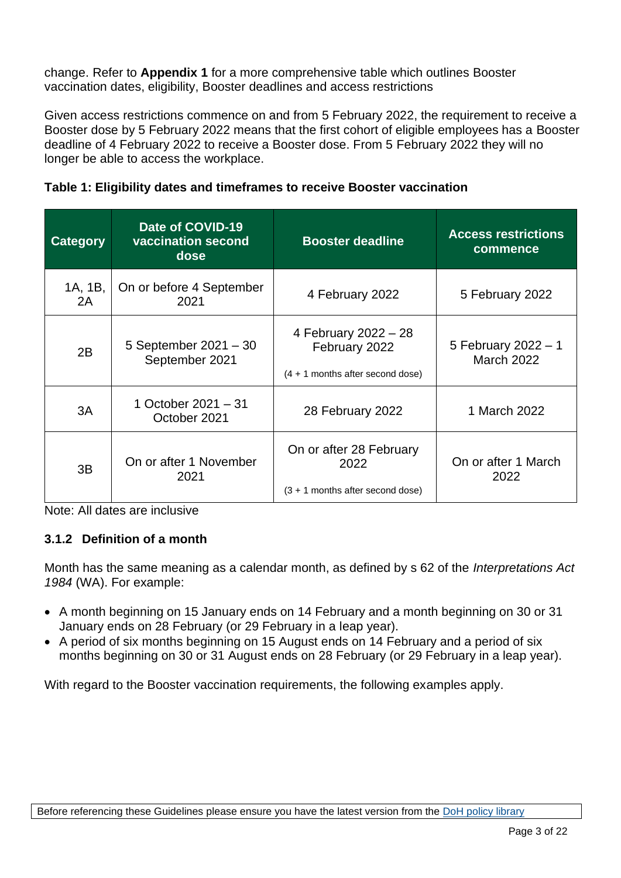change. Refer to **Appendix 1** for a more comprehensive table which outlines Booster vaccination dates, eligibility, Booster deadlines and access restrictions

Given access restrictions commence on and from 5 February 2022, the requirement to receive a Booster dose by 5 February 2022 means that the first cohort of eligible employees has a Booster deadline of 4 February 2022 to receive a Booster dose. From 5 February 2022 they will no longer be able to access the workplace.

| <b>Category</b> | Date of COVID-19<br>vaccination second<br>dose | <b>Booster deadline</b>                                                     | <b>Access restrictions</b><br>commence   |
|-----------------|------------------------------------------------|-----------------------------------------------------------------------------|------------------------------------------|
| 1A, 1B,<br>2A   | On or before 4 September<br>2021               | 4 February 2022                                                             | 5 February 2022                          |
| 2B              | 5 September 2021 - 30<br>September 2021        | 4 February 2022 - 28<br>February 2022<br>$(4 + 1$ months after second dose) | 5 February 2022 - 1<br><b>March 2022</b> |
| 3A              | 1 October 2021 - 31<br>October 2021            | 28 February 2022                                                            | 1 March 2022                             |
| 3B              | On or after 1 November<br>2021                 | On or after 28 February<br>2022<br>$(3 + 1$ months after second dose)       | On or after 1 March<br>2022              |

Note: All dates are inclusive

#### **3.1.2 Definition of a month**

Month has the same meaning as a calendar month, as defined by s 62 of the *Interpretations Act 1984* (WA). For example:

- A month beginning on 15 January ends on 14 February and a month beginning on 30 or 31 January ends on 28 February (or 29 February in a leap year).
- A period of six months beginning on 15 August ends on 14 February and a period of six months beginning on 30 or 31 August ends on 28 February (or 29 February in a leap year).

With regard to the Booster vaccination requirements, the following examples apply.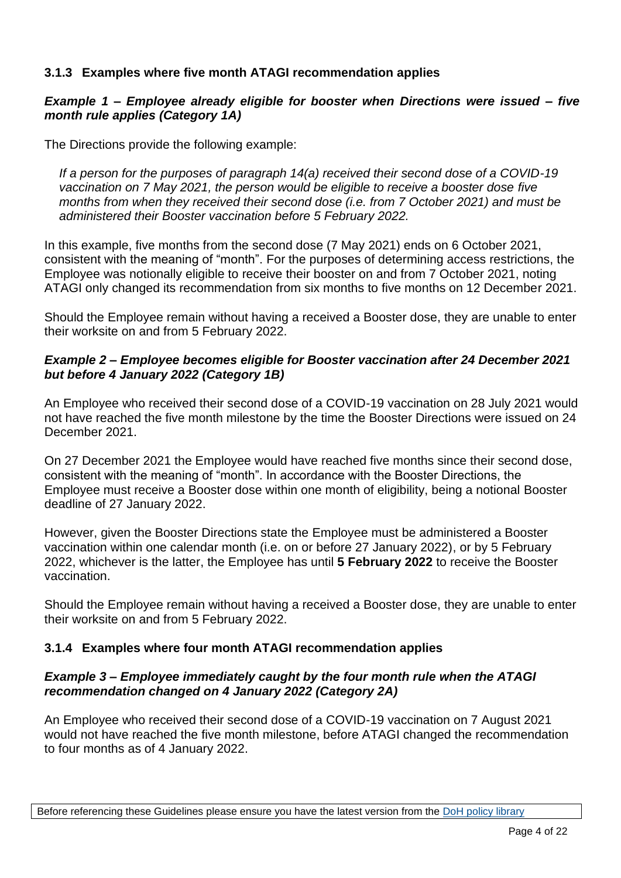#### **3.1.3 Examples where five month ATAGI recommendation applies**

#### *Example 1 – Employee already eligible for booster when Directions were issued – five month rule applies (Category 1A)*

The Directions provide the following example:

*If a person for the purposes of paragraph 14(a) received their second dose of a COVID-19 vaccination on 7 May 2021, the person would be eligible to receive a booster dose five months from when they received their second dose (i.e. from 7 October 2021) and must be administered their Booster vaccination before 5 February 2022.*

In this example, five months from the second dose (7 May 2021) ends on 6 October 2021, consistent with the meaning of "month". For the purposes of determining access restrictions, the Employee was notionally eligible to receive their booster on and from 7 October 2021, noting ATAGI only changed its recommendation from six months to five months on 12 December 2021.

Should the Employee remain without having a received a Booster dose, they are unable to enter their worksite on and from 5 February 2022.

#### *Example 2 – Employee becomes eligible for Booster vaccination after 24 December 2021 but before 4 January 2022 (Category 1B)*

An Employee who received their second dose of a COVID-19 vaccination on 28 July 2021 would not have reached the five month milestone by the time the Booster Directions were issued on 24 December 2021.

On 27 December 2021 the Employee would have reached five months since their second dose, consistent with the meaning of "month". In accordance with the Booster Directions, the Employee must receive a Booster dose within one month of eligibility, being a notional Booster deadline of 27 January 2022.

However, given the Booster Directions state the Employee must be administered a Booster vaccination within one calendar month (i.e. on or before 27 January 2022), or by 5 February 2022, whichever is the latter, the Employee has until **5 February 2022** to receive the Booster vaccination.

Should the Employee remain without having a received a Booster dose, they are unable to enter their worksite on and from 5 February 2022.

#### **3.1.4 Examples where four month ATAGI recommendation applies**

#### *Example 3 – Employee immediately caught by the four month rule when the ATAGI recommendation changed on 4 January 2022 (Category 2A)*

An Employee who received their second dose of a COVID-19 vaccination on 7 August 2021 would not have reached the five month milestone, before ATAGI changed the recommendation to four months as of 4 January 2022.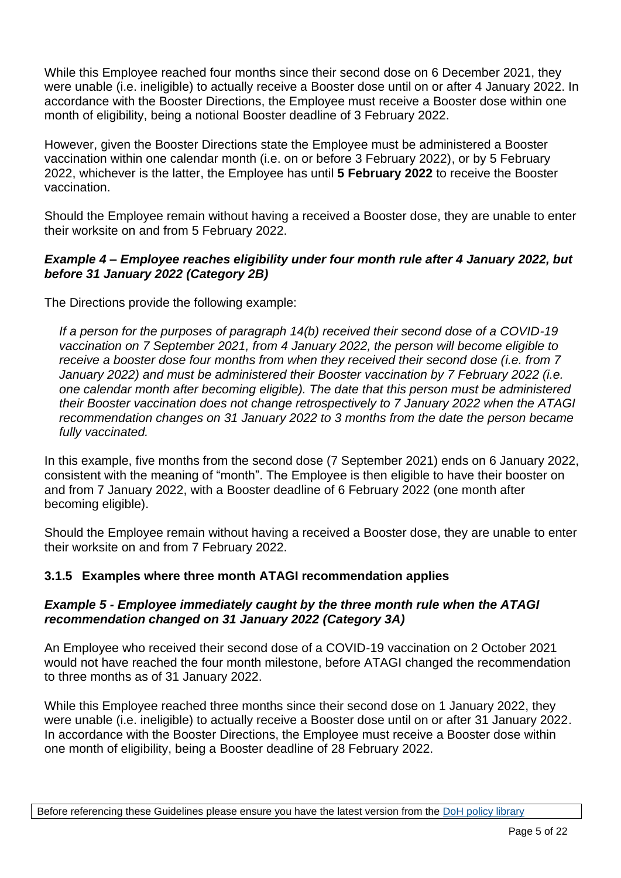While this Employee reached four months since their second dose on 6 December 2021, they were unable (i.e. ineligible) to actually receive a Booster dose until on or after 4 January 2022. In accordance with the Booster Directions, the Employee must receive a Booster dose within one month of eligibility, being a notional Booster deadline of 3 February 2022.

However, given the Booster Directions state the Employee must be administered a Booster vaccination within one calendar month (i.e. on or before 3 February 2022), or by 5 February 2022, whichever is the latter, the Employee has until **5 February 2022** to receive the Booster vaccination.

Should the Employee remain without having a received a Booster dose, they are unable to enter their worksite on and from 5 February 2022.

#### *Example 4 – Employee reaches eligibility under four month rule after 4 January 2022, but before 31 January 2022 (Category 2B)*

The Directions provide the following example:

*If a person for the purposes of paragraph 14(b) received their second dose of a COVID-19 vaccination on 7 September 2021, from 4 January 2022, the person will become eligible to receive a booster dose four months from when they received their second dose (i.e. from 7 January 2022) and must be administered their Booster vaccination by 7 February 2022 (i.e. one calendar month after becoming eligible). The date that this person must be administered their Booster vaccination does not change retrospectively to 7 January 2022 when the ATAGI recommendation changes on 31 January 2022 to 3 months from the date the person became fully vaccinated.*

In this example, five months from the second dose (7 September 2021) ends on 6 January 2022, consistent with the meaning of "month". The Employee is then eligible to have their booster on and from 7 January 2022, with a Booster deadline of 6 February 2022 (one month after becoming eligible).

Should the Employee remain without having a received a Booster dose, they are unable to enter their worksite on and from 7 February 2022.

#### **3.1.5 Examples where three month ATAGI recommendation applies**

#### *Example 5 - Employee immediately caught by the three month rule when the ATAGI recommendation changed on 31 January 2022 (Category 3A)*

An Employee who received their second dose of a COVID-19 vaccination on 2 October 2021 would not have reached the four month milestone, before ATAGI changed the recommendation to three months as of 31 January 2022.

While this Employee reached three months since their second dose on 1 January 2022, they were unable (i.e. ineligible) to actually receive a Booster dose until on or after 31 January 2022. In accordance with the Booster Directions, the Employee must receive a Booster dose within one month of eligibility, being a Booster deadline of 28 February 2022.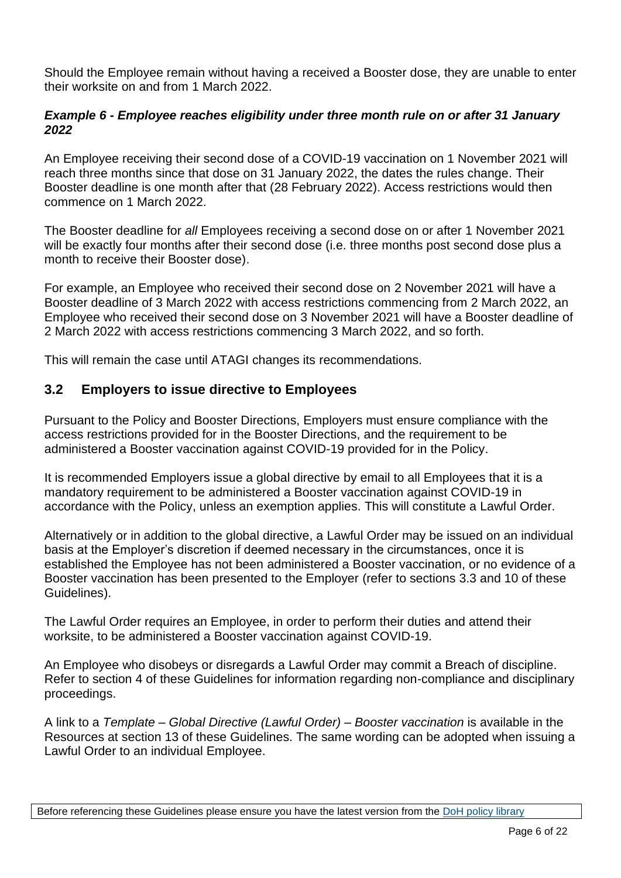Should the Employee remain without having a received a Booster dose, they are unable to enter their worksite on and from 1 March 2022.

#### *Example 6 - Employee reaches eligibility under three month rule on or after 31 January 2022*

An Employee receiving their second dose of a COVID-19 vaccination on 1 November 2021 will reach three months since that dose on 31 January 2022, the dates the rules change. Their Booster deadline is one month after that (28 February 2022). Access restrictions would then commence on 1 March 2022.

The Booster deadline for *all* Employees receiving a second dose on or after 1 November 2021 will be exactly four months after their second dose (i.e. three months post second dose plus a month to receive their Booster dose).

For example, an Employee who received their second dose on 2 November 2021 will have a Booster deadline of 3 March 2022 with access restrictions commencing from 2 March 2022, an Employee who received their second dose on 3 November 2021 will have a Booster deadline of 2 March 2022 with access restrictions commencing 3 March 2022, and so forth.

This will remain the case until ATAGI changes its recommendations.

#### **3.2 Employers to issue directive to Employees**

Pursuant to the Policy and Booster Directions, Employers must ensure compliance with the access restrictions provided for in the Booster Directions, and the requirement to be administered a Booster vaccination against COVID-19 provided for in the Policy.

It is recommended Employers issue a global directive by email to all Employees that it is a mandatory requirement to be administered a Booster vaccination against COVID-19 in accordance with the Policy, unless an exemption applies. This will constitute a Lawful Order.

Alternatively or in addition to the global directive, a Lawful Order may be issued on an individual basis at the Employer's discretion if deemed necessary in the circumstances, once it is established the Employee has not been administered a Booster vaccination, or no evidence of a Booster vaccination has been presented to the Employer (refer to sections 3.3 and 10 of these Guidelines).

The Lawful Order requires an Employee, in order to perform their duties and attend their worksite, to be administered a Booster vaccination against COVID-19.

An Employee who disobeys or disregards a Lawful Order may commit a Breach of discipline. Refer to section 4 of these Guidelines for information regarding non-compliance and disciplinary proceedings.

A link to a *Template – Global Directive (Lawful Order) – Booster vaccination* is available in the Resources at section 13 of these Guidelines. The same wording can be adopted when issuing a Lawful Order to an individual Employee.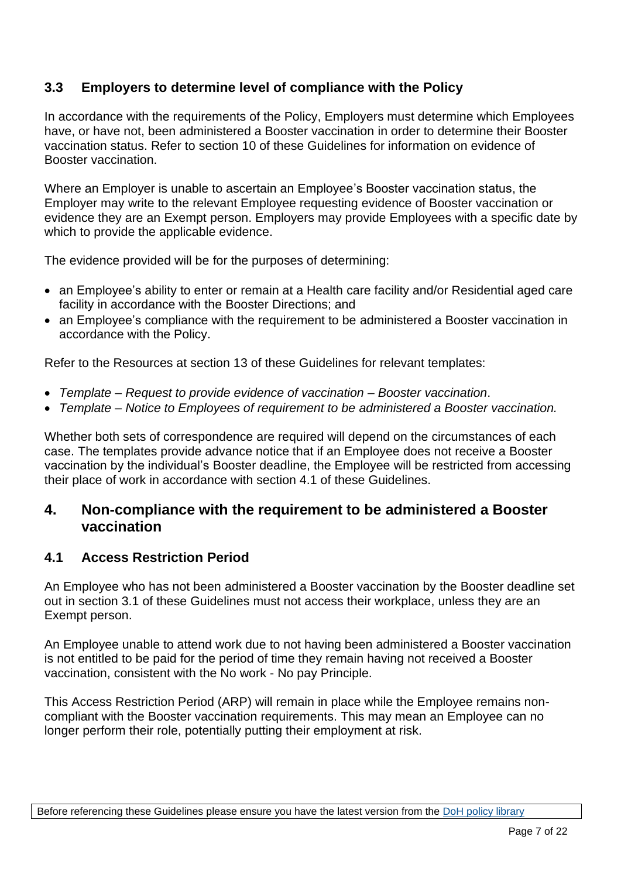### **3.3 Employers to determine level of compliance with the Policy**

In accordance with the requirements of the Policy, Employers must determine which Employees have, or have not, been administered a Booster vaccination in order to determine their Booster vaccination status. Refer to section 10 of these Guidelines for information on evidence of Booster vaccination.

Where an Employer is unable to ascertain an Employee's Booster vaccination status, the Employer may write to the relevant Employee requesting evidence of Booster vaccination or evidence they are an Exempt person. Employers may provide Employees with a specific date by which to provide the applicable evidence.

The evidence provided will be for the purposes of determining:

- an Employee's ability to enter or remain at a Health care facility and/or Residential aged care facility in accordance with the Booster Directions; and
- an Employee's compliance with the requirement to be administered a Booster vaccination in accordance with the Policy.

Refer to the Resources at section 13 of these Guidelines for relevant templates:

- *Template – Request to provide evidence of vaccination – Booster vaccination*.
- *Template – Notice to Employees of requirement to be administered a Booster vaccination.*

Whether both sets of correspondence are required will depend on the circumstances of each case. The templates provide advance notice that if an Employee does not receive a Booster vaccination by the individual's Booster deadline, the Employee will be restricted from accessing their place of work in accordance with section 4.1 of these Guidelines.

#### **4. Non-compliance with the requirement to be administered a Booster vaccination**

#### **4.1 Access Restriction Period**

An Employee who has not been administered a Booster vaccination by the Booster deadline set out in section 3.1 of these Guidelines must not access their workplace, unless they are an Exempt person.

An Employee unable to attend work due to not having been administered a Booster vaccination is not entitled to be paid for the period of time they remain having not received a Booster vaccination, consistent with the No work - No pay Principle.

This Access Restriction Period (ARP) will remain in place while the Employee remains noncompliant with the Booster vaccination requirements. This may mean an Employee can no longer perform their role, potentially putting their employment at risk.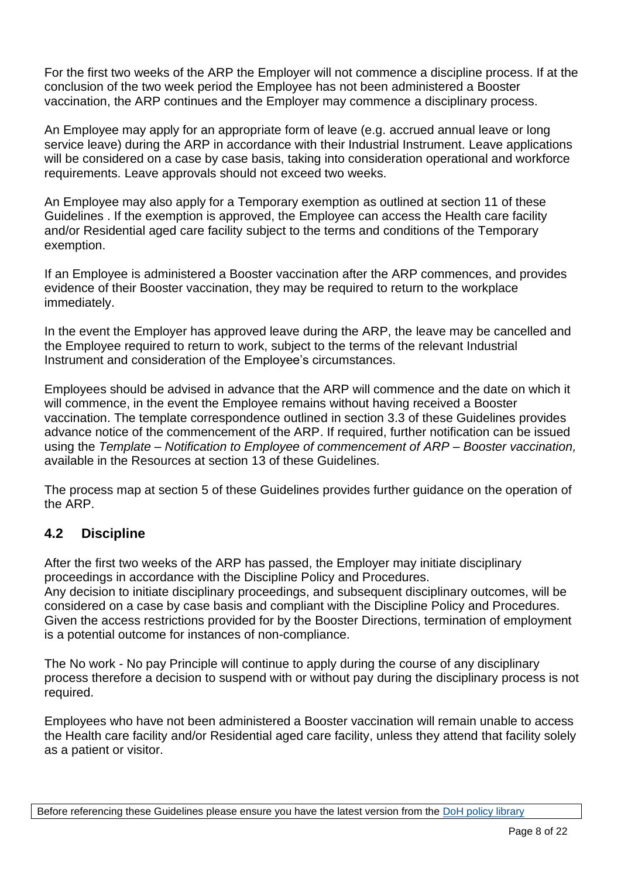For the first two weeks of the ARP the Employer will not commence a discipline process. If at the conclusion of the two week period the Employee has not been administered a Booster vaccination, the ARP continues and the Employer may commence a disciplinary process.

An Employee may apply for an appropriate form of leave (e.g. accrued annual leave or long service leave) during the ARP in accordance with their Industrial Instrument. Leave applications will be considered on a case by case basis, taking into consideration operational and workforce requirements. Leave approvals should not exceed two weeks.

An Employee may also apply for a Temporary exemption as outlined at section 11 of these Guidelines . If the exemption is approved, the Employee can access the Health care facility and/or Residential aged care facility subject to the terms and conditions of the Temporary exemption.

If an Employee is administered a Booster vaccination after the ARP commences, and provides evidence of their Booster vaccination, they may be required to return to the workplace immediately.

In the event the Employer has approved leave during the ARP, the leave may be cancelled and the Employee required to return to work, subject to the terms of the relevant Industrial Instrument and consideration of the Employee's circumstances.

Employees should be advised in advance that the ARP will commence and the date on which it will commence, in the event the Employee remains without having received a Booster vaccination. The template correspondence outlined in section 3.3 of these Guidelines provides advance notice of the commencement of the ARP. If required, further notification can be issued using the *Template – Notification to Employee of commencement of ARP – Booster vaccination,* available in the Resources at section 13 of these Guidelines.

The process map at section 5 of these Guidelines provides further guidance on the operation of the ARP.

### **4.2 Discipline**

After the first two weeks of the ARP has passed, the Employer may initiate disciplinary proceedings in accordance with the Discipline Policy and Procedures.

Any decision to initiate disciplinary proceedings, and subsequent disciplinary outcomes, will be considered on a case by case basis and compliant with the Discipline Policy and Procedures. Given the access restrictions provided for by the Booster Directions, termination of employment is a potential outcome for instances of non-compliance.

The No work - No pay Principle will continue to apply during the course of any disciplinary process therefore a decision to suspend with or without pay during the disciplinary process is not required.

Employees who have not been administered a Booster vaccination will remain unable to access the Health care facility and/or Residential aged care facility, unless they attend that facility solely as a patient or visitor.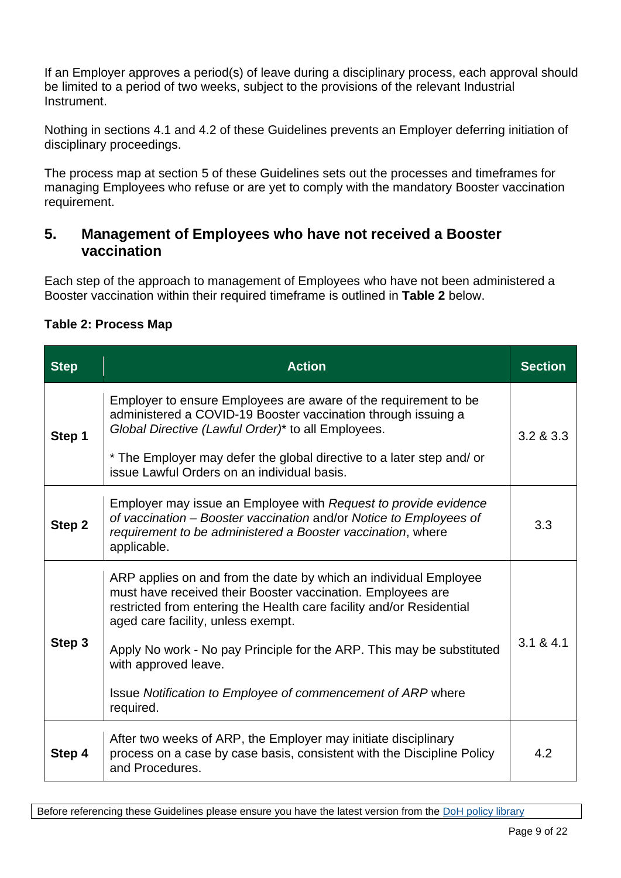If an Employer approves a period(s) of leave during a disciplinary process, each approval should be limited to a period of two weeks, subject to the provisions of the relevant Industrial Instrument.

Nothing in sections 4.1 and 4.2 of these Guidelines prevents an Employer deferring initiation of disciplinary proceedings.

The process map at section 5 of these Guidelines sets out the processes and timeframes for managing Employees who refuse or are yet to comply with the mandatory Booster vaccination requirement.

## **5. Management of Employees who have not received a Booster vaccination**

Each step of the approach to management of Employees who have not been administered a Booster vaccination within their required timeframe is outlined in **Table 2** below.

| <b>Step</b> | <b>Action</b>                                                                                                                                                                                                                                                                                                                                                                                                              | <b>Section</b> |
|-------------|----------------------------------------------------------------------------------------------------------------------------------------------------------------------------------------------------------------------------------------------------------------------------------------------------------------------------------------------------------------------------------------------------------------------------|----------------|
| Step 1      | Employer to ensure Employees are aware of the requirement to be<br>administered a COVID-19 Booster vaccination through issuing a<br>Global Directive (Lawful Order)* to all Employees.<br>* The Employer may defer the global directive to a later step and/ or<br>issue Lawful Orders on an individual basis.                                                                                                             | 3.2 & 3.3      |
| Step 2      | Employer may issue an Employee with Request to provide evidence<br>of vaccination – Booster vaccination and/or Notice to Employees of<br>requirement to be administered a Booster vaccination, where<br>applicable.                                                                                                                                                                                                        | 3.3            |
| Step 3      | ARP applies on and from the date by which an individual Employee<br>must have received their Booster vaccination. Employees are<br>restricted from entering the Health care facility and/or Residential<br>aged care facility, unless exempt.<br>Apply No work - No pay Principle for the ARP. This may be substituted<br>with approved leave.<br>Issue Notification to Employee of commencement of ARP where<br>required. | 3.1 & 8.4.1    |
| Step 4      | After two weeks of ARP, the Employer may initiate disciplinary<br>process on a case by case basis, consistent with the Discipline Policy<br>and Procedures.                                                                                                                                                                                                                                                                | 4.2            |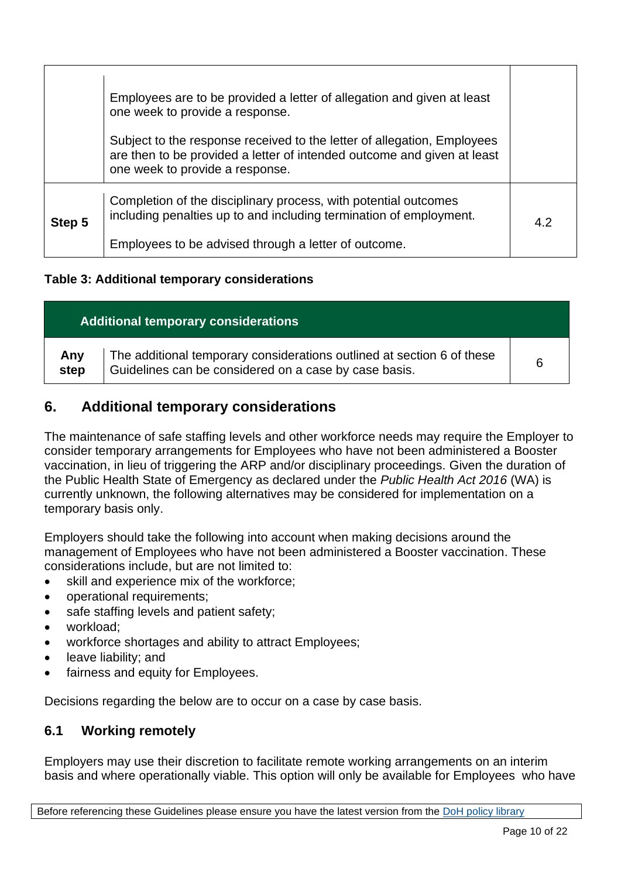|        | Employees are to be provided a letter of allegation and given at least<br>one week to provide a response.<br>Subject to the response received to the letter of allegation, Employees<br>are then to be provided a letter of intended outcome and given at least<br>one week to provide a response. |     |
|--------|----------------------------------------------------------------------------------------------------------------------------------------------------------------------------------------------------------------------------------------------------------------------------------------------------|-----|
| Step 5 | Completion of the disciplinary process, with potential outcomes<br>including penalties up to and including termination of employment.<br>Employees to be advised through a letter of outcome.                                                                                                      | 4.2 |

#### **Table 3: Additional temporary considerations**

| <b>Additional temporary considerations</b> |                                                                                                                                 |   |  |
|--------------------------------------------|---------------------------------------------------------------------------------------------------------------------------------|---|--|
| Any<br>step                                | The additional temporary considerations outlined at section 6 of these<br>Guidelines can be considered on a case by case basis. | 6 |  |

# **6. Additional temporary considerations**

The maintenance of safe staffing levels and other workforce needs may require the Employer to consider temporary arrangements for Employees who have not been administered a Booster vaccination, in lieu of triggering the ARP and/or disciplinary proceedings. Given the duration of the Public Health State of Emergency as declared under the *Public Health Act 2016* (WA) is currently unknown, the following alternatives may be considered for implementation on a temporary basis only.

Employers should take the following into account when making decisions around the management of Employees who have not been administered a Booster vaccination. These considerations include, but are not limited to:

- skill and experience mix of the workforce;
- operational requirements;
- safe staffing levels and patient safety;
- workload:
- workforce shortages and ability to attract Employees;
- leave liability; and
- fairness and equity for Employees.

Decisions regarding the below are to occur on a case by case basis.

### **6.1 Working remotely**

Employers may use their discretion to facilitate remote working arrangements on an interim basis and where operationally viable. This option will only be available for Employees who have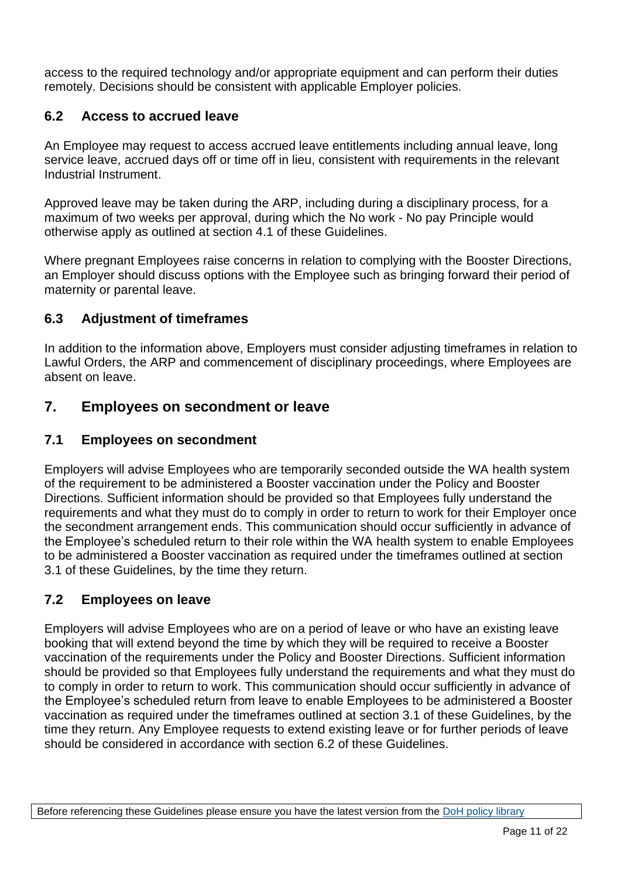access to the required technology and/or appropriate equipment and can perform their duties remotely. Decisions should be consistent with applicable Employer policies.

#### **6.2 Access to accrued leave**

An Employee may request to access accrued leave entitlements including annual leave, long service leave, accrued days off or time off in lieu, consistent with requirements in the relevant Industrial Instrument.

Approved leave may be taken during the ARP, including during a disciplinary process, for a maximum of two weeks per approval, during which the No work - No pay Principle would otherwise apply as outlined at section 4.1 of these Guidelines.

Where pregnant Employees raise concerns in relation to complying with the Booster Directions, an Employer should discuss options with the Employee such as bringing forward their period of maternity or parental leave.

#### **6.3 Adjustment of timeframes**

In addition to the information above, Employers must consider adjusting timeframes in relation to Lawful Orders, the ARP and commencement of disciplinary proceedings, where Employees are absent on leave.

### **7. Employees on secondment or leave**

#### **7.1 Employees on secondment**

Employers will advise Employees who are temporarily seconded outside the WA health system of the requirement to be administered a Booster vaccination under the Policy and Booster Directions. Sufficient information should be provided so that Employees fully understand the requirements and what they must do to comply in order to return to work for their Employer once the secondment arrangement ends. This communication should occur sufficiently in advance of the Employee's scheduled return to their role within the WA health system to enable Employees to be administered a Booster vaccination as required under the timeframes outlined at section 3.1 of these Guidelines, by the time they return.

### **7.2 Employees on leave**

Employers will advise Employees who are on a period of leave or who have an existing leave booking that will extend beyond the time by which they will be required to receive a Booster vaccination of the requirements under the Policy and Booster Directions. Sufficient information should be provided so that Employees fully understand the requirements and what they must do to comply in order to return to work. This communication should occur sufficiently in advance of the Employee's scheduled return from leave to enable Employees to be administered a Booster vaccination as required under the timeframes outlined at section 3.1 of these Guidelines, by the time they return. Any Employee requests to extend existing leave or for further periods of leave should be considered in accordance with section 6.2 of these Guidelines.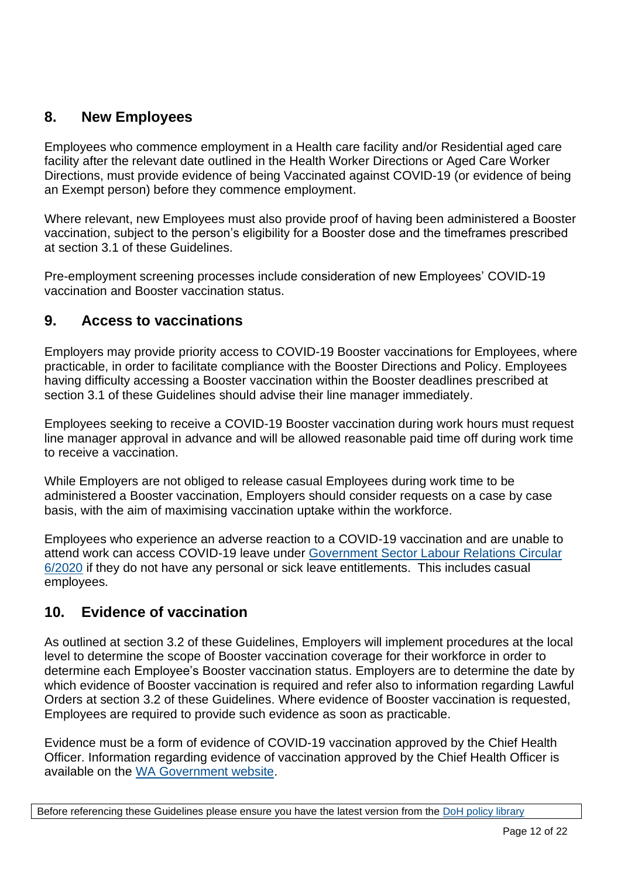# **8. New Employees**

Employees who commence employment in a Health care facility and/or Residential aged care facility after the relevant date outlined in the Health Worker Directions or Aged Care Worker Directions, must provide evidence of being Vaccinated against COVID-19 (or evidence of being an Exempt person) before they commence employment.

Where relevant, new Employees must also provide proof of having been administered a Booster vaccination, subject to the person's eligibility for a Booster dose and the timeframes prescribed at section 3.1 of these Guidelines.

Pre-employment screening processes include consideration of new Employees' COVID-19 vaccination and Booster vaccination status.

# **9. Access to vaccinations**

Employers may provide priority access to COVID-19 Booster vaccinations for Employees, where practicable, in order to facilitate compliance with the Booster Directions and Policy. Employees having difficulty accessing a Booster vaccination within the Booster deadlines prescribed at section 3.1 of these Guidelines should advise their line manager immediately.

Employees seeking to receive a COVID-19 Booster vaccination during work hours must request line manager approval in advance and will be allowed reasonable paid time off during work time to receive a vaccination.

While Employers are not obliged to release casual Employees during work time to be administered a Booster vaccination, Employers should consider requests on a case by case basis, with the aim of maximising vaccination uptake within the workforce.

Employees who experience an adverse reaction to a COVID-19 vaccination and are unable to attend work can access COVID-19 leave under [Government Sector Labour Relations Circular](https://www.commerce.wa.gov.au/labour-relations/circulars-departments-and-organisations)  [6/2020](https://www.commerce.wa.gov.au/labour-relations/circulars-departments-and-organisations) if they do not have any personal or sick leave entitlements. This includes casual employees.

# **10. Evidence of vaccination**

As outlined at section 3.2 of these Guidelines, Employers will implement procedures at the local level to determine the scope of Booster vaccination coverage for their workforce in order to determine each Employee's Booster vaccination status. Employers are to determine the date by which evidence of Booster vaccination is required and refer also to information regarding Lawful Orders at section 3.2 of these Guidelines. Where evidence of Booster vaccination is requested, Employees are required to provide such evidence as soon as practicable.

Evidence must be a form of evidence of COVID-19 vaccination approved by the Chief Health Officer. Information regarding evidence of vaccination approved by the Chief Health Officer is available on the [WA Government website.](https://www.wa.gov.au/government/publications/chief-health-officer-approved-form-of-evidence-of-covid-19-vaccination-under-each-of-the-restrictions-access-directions-given-under-the-public-health-act-2016-wa-respect-of)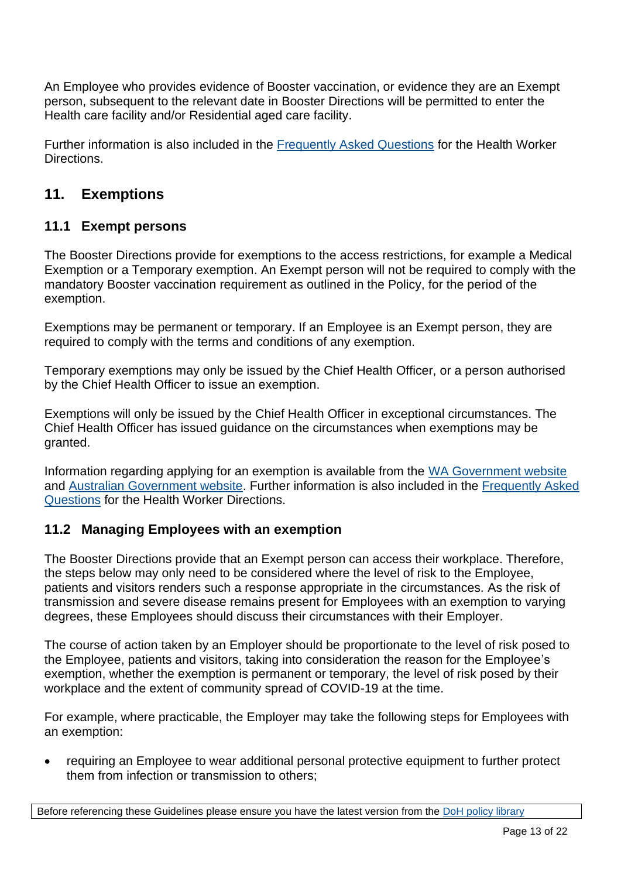An Employee who provides evidence of Booster vaccination, or evidence they are an Exempt person, subsequent to the relevant date in Booster Directions will be permitted to enter the Health care facility and/or Residential aged care facility.

Further information is also included in the [Frequently Asked Questions](https://ww2.health.wa.gov.au/Articles/A_E/Coronavirus/COVID19%20vaccination%20program/Directions-for-healthcare-and-health-support-workers) for the Health Worker **Directions** 

# **11. Exemptions**

# **11.1 Exempt persons**

The Booster Directions provide for exemptions to the access restrictions, for example a Medical Exemption or a Temporary exemption. An Exempt person will not be required to comply with the mandatory Booster vaccination requirement as outlined in the Policy, for the period of the exemption.

Exemptions may be permanent or temporary. If an Employee is an Exempt person, they are required to comply with the terms and conditions of any exemption.

Temporary exemptions may only be issued by the Chief Health Officer, or a person authorised by the Chief Health Officer to issue an exemption.

Exemptions will only be issued by the Chief Health Officer in exceptional circumstances. The Chief Health Officer has issued guidance on the circumstances when exemptions may be granted.

Information regarding applying for an exemption is available from the [WA Government website](https://www.wa.gov.au/government/document-collections/covid-19-coronavirus-mandatory-vaccination) and [Australian Government website.](https://www.servicesaustralia.gov.au/individuals/topics/immunisation-medical-exemptions/40531) Further information is also included in the [Frequently Asked](https://ww2.health.wa.gov.au/Articles/A_E/Coronavirus/COVID19%20vaccination%20program/Directions-for-healthcare-and-health-support-workers)  [Questions](https://ww2.health.wa.gov.au/Articles/A_E/Coronavirus/COVID19%20vaccination%20program/Directions-for-healthcare-and-health-support-workers) for the Health Worker Directions.

### **11.2 Managing Employees with an exemption**

The Booster Directions provide that an Exempt person can access their workplace. Therefore, the steps below may only need to be considered where the level of risk to the Employee, patients and visitors renders such a response appropriate in the circumstances. As the risk of transmission and severe disease remains present for Employees with an exemption to varying degrees, these Employees should discuss their circumstances with their Employer.

The course of action taken by an Employer should be proportionate to the level of risk posed to the Employee, patients and visitors, taking into consideration the reason for the Employee's exemption, whether the exemption is permanent or temporary, the level of risk posed by their workplace and the extent of community spread of COVID-19 at the time.

For example, where practicable, the Employer may take the following steps for Employees with an exemption:

• requiring an Employee to wear additional personal protective equipment to further protect them from infection or transmission to others;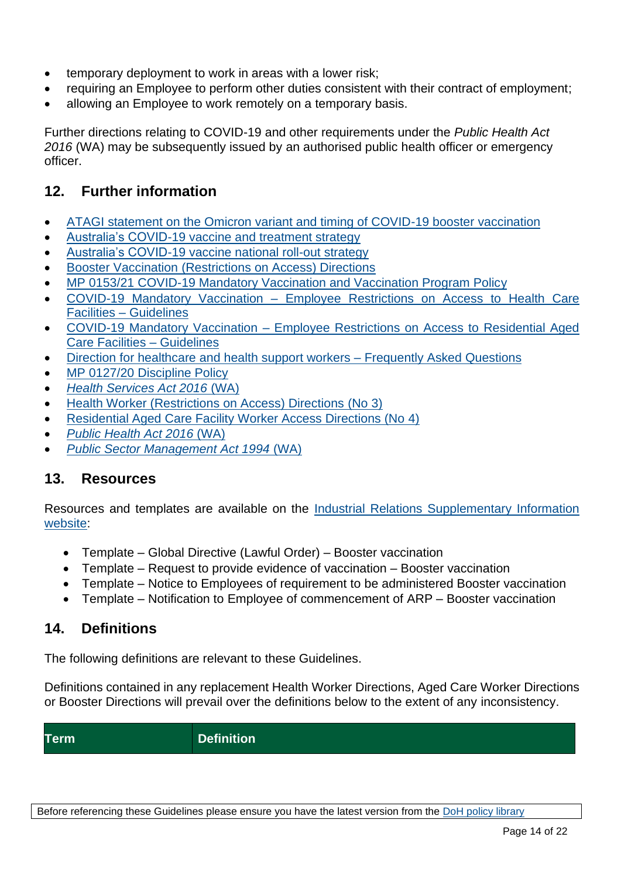- temporary deployment to work in areas with a lower risk;
- requiring an Employee to perform other duties consistent with their contract of employment;
- allowing an Employee to work remotely on a temporary basis.

Further directions relating to COVID-19 and other requirements under the *Public Health Act 2016* (WA) may be subsequently issued by an authorised public health officer or emergency officer.

# **12. Further information**

- [ATAGI statement on the Omicron variant and timing of COVID-19 booster vaccination](https://www.health.gov.au/news/atagi-statement-on-the-omicron-variant-and-timing-of-covid-19-booster-vaccination)
- [Australia's COVID-19 vaccine and treatment strategy](https://www.health.gov.au/resources/publications/australias-covid-19-vaccine-and-treatment-strategy)
- Australia's COVID-19 vaccine national roll-out [strategy](https://www.health.gov.au/resources/publications/covid-19-vaccination-australias-covid-19-vaccine-national-roll-out-strategy)
- Booster Vaccination [\(Restrictions on Access\) Directions](https://www.wa.gov.au/government/publications/booster-vaccination-restrictions-access-directions-no2)
- [MP 0153/21 COVID-19 Mandatory Vaccination and Vaccination Program Policy](https://ww2.health.wa.gov.au/About-us/Policy-frameworks/Public-Health/Mandatory-requirements/Communicable-Disease-Control/Immunisation/COVID-19--Vaccination-Program-Policy)
- COVID-19 Mandatory Vaccination [Employee Restrictions on Access to Health Care](https://ww2.health.wa.gov.au/~/media/Corp/Policy-Frameworks/Public-Health/COVID-19-Mandatory-Vaccination-and-Vaccination-Program-Policy/Supporting-Information/COVID-19-Mandatory-Vaccination-Employee-Restrictions-on-Access-to-HCF-Guidelines.pdf)  Facilities – [Guidelines](https://ww2.health.wa.gov.au/~/media/Corp/Policy-Frameworks/Public-Health/COVID-19-Mandatory-Vaccination-and-Vaccination-Program-Policy/Supporting-Information/COVID-19-Mandatory-Vaccination-Employee-Restrictions-on-Access-to-HCF-Guidelines.pdf)
- COVID-19 Mandatory Vaccination [Employee Restrictions on Access to Residential Aged](https://ww2.health.wa.gov.au/~/media/Corp/Policy-Frameworks/Public-Health/COVID-19-Mandatory-Vaccination-and-Vaccination-Program-Policy/Supporting-Information/COVID-19-Mandatory-Vaccination-Employees-Restrictions-on-Access-to-RACF-Guidelines.pdf)  [Care Facilities –](https://ww2.health.wa.gov.au/~/media/Corp/Policy-Frameworks/Public-Health/COVID-19-Mandatory-Vaccination-and-Vaccination-Program-Policy/Supporting-Information/COVID-19-Mandatory-Vaccination-Employees-Restrictions-on-Access-to-RACF-Guidelines.pdf) Guidelines
- [Direction for healthcare and health support workers –](https://ww2.health.wa.gov.au/Articles/A_E/Coronavirus/COVID19-vaccination-program/Directions-for-healthcare-and-health-support-workers/FAQ) Frequently Asked Questions
- MP 0127/20 [Discipline Policy](https://ww2.health.wa.gov.au/About-us/Policy-frameworks/Integrity/Mandatory-requirements/Discipline-Policy)
- *[Health Services Act 2016](https://www.legislation.wa.gov.au/legislation/statutes.nsf/law_a147107.html)* (WA)
- [Health Worker \(Restrictions on Access\) Directions](https://www.wa.gov.au/government/publications/health-worker-restrictions-access-directions-no-2) (No 3)
- [Residential Aged Care Facility Worker Access Directions \(No 4\)](https://www.wa.gov.au/government/publications/residential-aged-care-facility-worker-access-directions-no-4)
- *[Public Health Act](https://www.legislation.wa.gov.au/legislation/statutes.nsf/law_a147114.html) 2016* (WA)
- *[Public Sector Management Act 1994](https://www.legislation.wa.gov.au/legislation/statutes.nsf/law_a647.html)* (WA)

### **13. Resources**

Resources and templates are available on the [Industrial Relations Supplementary Information](https://ww2.health.wa.gov.au/Articles/F_I/Industrial-Relations-Supplementary-Information)  [website:](https://ww2.health.wa.gov.au/Articles/F_I/Industrial-Relations-Supplementary-Information)

- Template Global Directive (Lawful Order) Booster vaccination
- Template Request to provide evidence of vaccination Booster vaccination
- Template Notice to Employees of requirement to be administered Booster vaccination
- Template Notification to Employee of commencement of ARP Booster vaccination

# **14. Definitions**

The following definitions are relevant to these Guidelines.

Definitions contained in any replacement Health Worker Directions, Aged Care Worker Directions or Booster Directions will prevail over the definitions below to the extent of any inconsistency.

**Term Definition**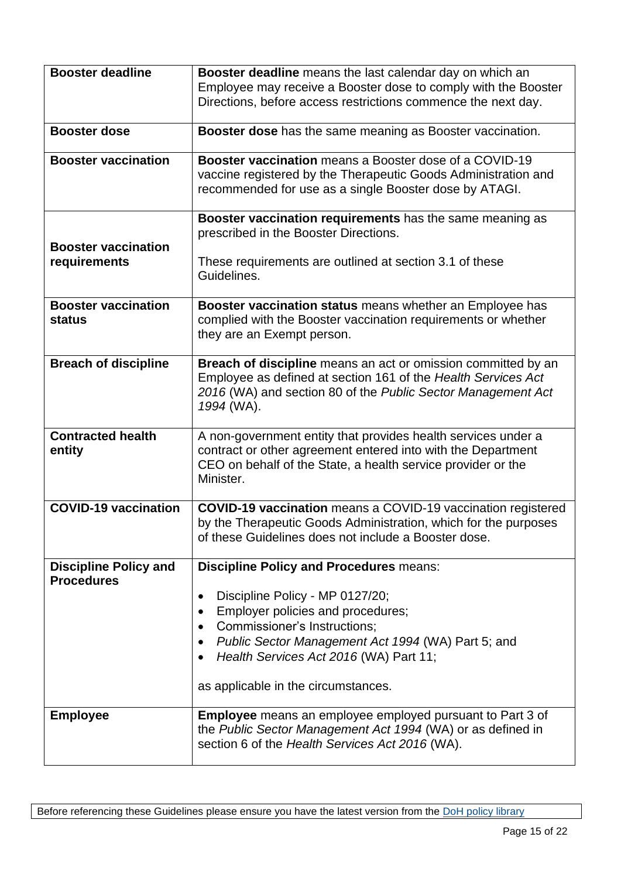| <b>Booster deadline</b>                           | Booster deadline means the last calendar day on which an<br>Employee may receive a Booster dose to comply with the Booster<br>Directions, before access restrictions commence the next day.                                                        |  |  |
|---------------------------------------------------|----------------------------------------------------------------------------------------------------------------------------------------------------------------------------------------------------------------------------------------------------|--|--|
| <b>Booster dose</b>                               | Booster dose has the same meaning as Booster vaccination.                                                                                                                                                                                          |  |  |
| <b>Booster vaccination</b>                        | Booster vaccination means a Booster dose of a COVID-19<br>vaccine registered by the Therapeutic Goods Administration and<br>recommended for use as a single Booster dose by ATAGI.                                                                 |  |  |
| <b>Booster vaccination</b>                        | Booster vaccination requirements has the same meaning as<br>prescribed in the Booster Directions.                                                                                                                                                  |  |  |
| requirements                                      | These requirements are outlined at section 3.1 of these<br>Guidelines.                                                                                                                                                                             |  |  |
| <b>Booster vaccination</b><br>status              | Booster vaccination status means whether an Employee has<br>complied with the Booster vaccination requirements or whether<br>they are an Exempt person.                                                                                            |  |  |
| <b>Breach of discipline</b>                       | Breach of discipline means an act or omission committed by an<br>Employee as defined at section 161 of the Health Services Act<br>2016 (WA) and section 80 of the Public Sector Management Act<br>1994 (WA).                                       |  |  |
| <b>Contracted health</b><br>entity                | A non-government entity that provides health services under a<br>contract or other agreement entered into with the Department<br>CEO on behalf of the State, a health service provider or the<br>Minister.                                         |  |  |
| <b>COVID-19 vaccination</b>                       | <b>COVID-19 vaccination</b> means a COVID-19 vaccination registered<br>by the Therapeutic Goods Administration, which for the purposes<br>of these Guidelines does not include a Booster dose.                                                     |  |  |
| <b>Discipline Policy and</b><br><b>Procedures</b> | <b>Discipline Policy and Procedures means:</b>                                                                                                                                                                                                     |  |  |
|                                                   | Discipline Policy - MP 0127/20;<br>$\bullet$<br>Employer policies and procedures;<br><b>Commissioner's Instructions:</b><br>$\bullet$<br>Public Sector Management Act 1994 (WA) Part 5; and<br>$\bullet$<br>Health Services Act 2016 (WA) Part 11; |  |  |
|                                                   | as applicable in the circumstances.                                                                                                                                                                                                                |  |  |
| <b>Employee</b>                                   | <b>Employee</b> means an employee employed pursuant to Part 3 of<br>the Public Sector Management Act 1994 (WA) or as defined in<br>section 6 of the Health Services Act 2016 (WA).                                                                 |  |  |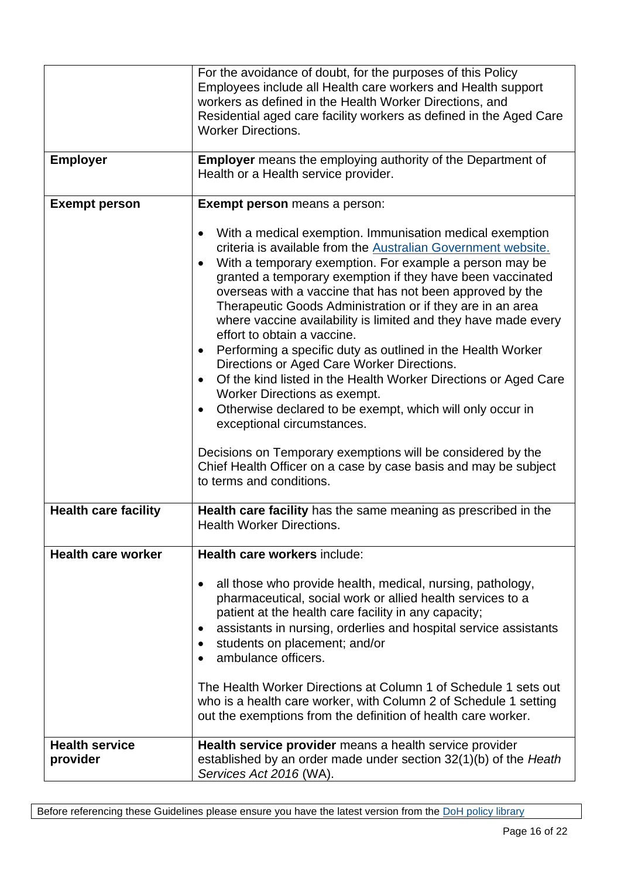| <b>Employer</b>                   | For the avoidance of doubt, for the purposes of this Policy<br>Employees include all Health care workers and Health support<br>workers as defined in the Health Worker Directions, and<br>Residential aged care facility workers as defined in the Aged Care<br><b>Worker Directions.</b><br><b>Employer</b> means the employing authority of the Department of<br>Health or a Health service provider.                                                                                                                                                                                                                                                                                                                                                                                                                                              |  |  |
|-----------------------------------|------------------------------------------------------------------------------------------------------------------------------------------------------------------------------------------------------------------------------------------------------------------------------------------------------------------------------------------------------------------------------------------------------------------------------------------------------------------------------------------------------------------------------------------------------------------------------------------------------------------------------------------------------------------------------------------------------------------------------------------------------------------------------------------------------------------------------------------------------|--|--|
| <b>Exempt person</b>              | Exempt person means a person:<br>With a medical exemption. Immunisation medical exemption<br>criteria is available from the Australian Government website.<br>With a temporary exemption. For example a person may be<br>granted a temporary exemption if they have been vaccinated<br>overseas with a vaccine that has not been approved by the<br>Therapeutic Goods Administration or if they are in an area<br>where vaccine availability is limited and they have made every<br>effort to obtain a vaccine.<br>Performing a specific duty as outlined in the Health Worker<br>Directions or Aged Care Worker Directions.<br>Of the kind listed in the Health Worker Directions or Aged Care<br>$\bullet$<br>Worker Directions as exempt.<br>Otherwise declared to be exempt, which will only occur in<br>$\bullet$<br>exceptional circumstances. |  |  |
|                                   | Decisions on Temporary exemptions will be considered by the<br>Chief Health Officer on a case by case basis and may be subject<br>to terms and conditions.                                                                                                                                                                                                                                                                                                                                                                                                                                                                                                                                                                                                                                                                                           |  |  |
| <b>Health care facility</b>       | Health care facility has the same meaning as prescribed in the<br><b>Health Worker Directions.</b>                                                                                                                                                                                                                                                                                                                                                                                                                                                                                                                                                                                                                                                                                                                                                   |  |  |
| <b>Health care worker</b>         | Health care workers include:<br>all those who provide health, medical, nursing, pathology,<br>$\bullet$<br>pharmaceutical, social work or allied health services to a<br>patient at the health care facility in any capacity;<br>assistants in nursing, orderlies and hospital service assistants<br>$\bullet$<br>students on placement; and/or<br>ambulance officers.<br>The Health Worker Directions at Column 1 of Schedule 1 sets out<br>who is a health care worker, with Column 2 of Schedule 1 setting<br>out the exemptions from the definition of health care worker.                                                                                                                                                                                                                                                                       |  |  |
| <b>Health service</b><br>provider | Health service provider means a health service provider<br>established by an order made under section 32(1)(b) of the Heath<br>Services Act 2016 (WA).                                                                                                                                                                                                                                                                                                                                                                                                                                                                                                                                                                                                                                                                                               |  |  |

Before referencing these Guidelines please ensure you have the latest version from the **DoH** policy library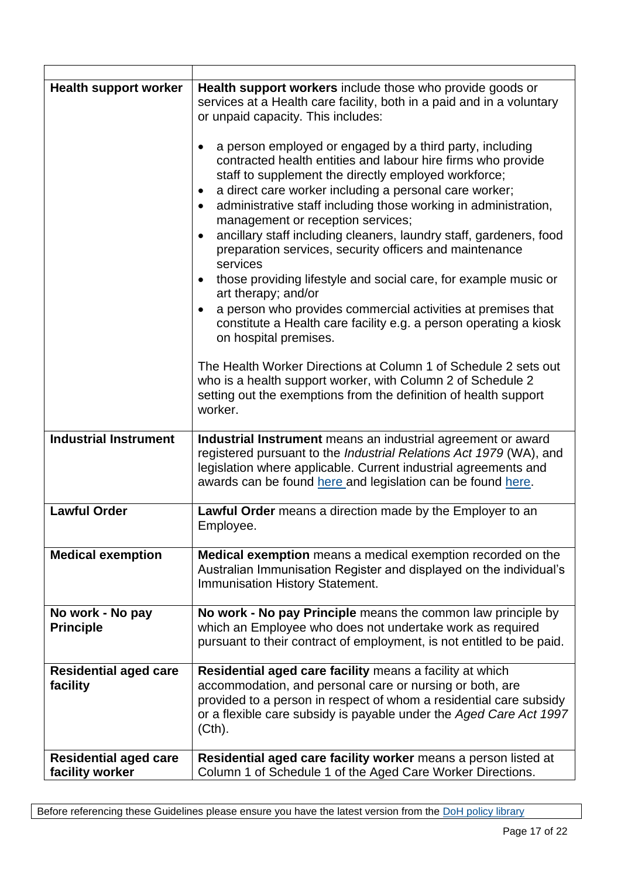| <b>Health support worker</b> | Health support workers include those who provide goods or<br>services at a Health care facility, both in a paid and in a voluntary<br>or unpaid capacity. This includes:<br>a person employed or engaged by a third party, including<br>$\bullet$<br>contracted health entities and labour hire firms who provide<br>staff to supplement the directly employed workforce;<br>a direct care worker including a personal care worker;<br>$\bullet$<br>administrative staff including those working in administration,<br>$\bullet$<br>management or reception services;<br>ancillary staff including cleaners, laundry staff, gardeners, food<br>$\bullet$<br>preparation services, security officers and maintenance<br>services<br>those providing lifestyle and social care, for example music or<br>$\bullet$<br>art therapy; and/or<br>a person who provides commercial activities at premises that<br>constitute a Health care facility e.g. a person operating a kiosk<br>on hospital premises.<br>The Health Worker Directions at Column 1 of Schedule 2 sets out<br>who is a health support worker, with Column 2 of Schedule 2<br>setting out the exemptions from the definition of health support<br>worker. |  |  |
|------------------------------|-----------------------------------------------------------------------------------------------------------------------------------------------------------------------------------------------------------------------------------------------------------------------------------------------------------------------------------------------------------------------------------------------------------------------------------------------------------------------------------------------------------------------------------------------------------------------------------------------------------------------------------------------------------------------------------------------------------------------------------------------------------------------------------------------------------------------------------------------------------------------------------------------------------------------------------------------------------------------------------------------------------------------------------------------------------------------------------------------------------------------------------------------------------------------------------------------------------------------|--|--|
| <b>Industrial Instrument</b> | Industrial Instrument means an industrial agreement or award                                                                                                                                                                                                                                                                                                                                                                                                                                                                                                                                                                                                                                                                                                                                                                                                                                                                                                                                                                                                                                                                                                                                                          |  |  |
|                              | registered pursuant to the Industrial Relations Act 1979 (WA), and<br>legislation where applicable. Current industrial agreements and<br>awards can be found here and legislation can be found here.                                                                                                                                                                                                                                                                                                                                                                                                                                                                                                                                                                                                                                                                                                                                                                                                                                                                                                                                                                                                                  |  |  |
| <b>Lawful Order</b>          | Lawful Order means a direction made by the Employer to an<br>Employee.                                                                                                                                                                                                                                                                                                                                                                                                                                                                                                                                                                                                                                                                                                                                                                                                                                                                                                                                                                                                                                                                                                                                                |  |  |
| <b>Medical exemption</b>     | Medical exemption means a medical exemption recorded on the<br>Australian Immunisation Register and displayed on the individual's<br>Immunisation History Statement.                                                                                                                                                                                                                                                                                                                                                                                                                                                                                                                                                                                                                                                                                                                                                                                                                                                                                                                                                                                                                                                  |  |  |
| No work - No pay             | No work - No pay Principle means the common law principle by                                                                                                                                                                                                                                                                                                                                                                                                                                                                                                                                                                                                                                                                                                                                                                                                                                                                                                                                                                                                                                                                                                                                                          |  |  |
| <b>Principle</b>             | which an Employee who does not undertake work as required                                                                                                                                                                                                                                                                                                                                                                                                                                                                                                                                                                                                                                                                                                                                                                                                                                                                                                                                                                                                                                                                                                                                                             |  |  |
|                              | pursuant to their contract of employment, is not entitled to be paid.                                                                                                                                                                                                                                                                                                                                                                                                                                                                                                                                                                                                                                                                                                                                                                                                                                                                                                                                                                                                                                                                                                                                                 |  |  |
| <b>Residential aged care</b> | Residential aged care facility means a facility at which                                                                                                                                                                                                                                                                                                                                                                                                                                                                                                                                                                                                                                                                                                                                                                                                                                                                                                                                                                                                                                                                                                                                                              |  |  |
| facility                     | accommodation, and personal care or nursing or both, are                                                                                                                                                                                                                                                                                                                                                                                                                                                                                                                                                                                                                                                                                                                                                                                                                                                                                                                                                                                                                                                                                                                                                              |  |  |
|                              | provided to a person in respect of whom a residential care subsidy<br>or a flexible care subsidy is payable under the Aged Care Act 1997<br>(Cth).                                                                                                                                                                                                                                                                                                                                                                                                                                                                                                                                                                                                                                                                                                                                                                                                                                                                                                                                                                                                                                                                    |  |  |
| <b>Residential aged care</b> | Residential aged care facility worker means a person listed at                                                                                                                                                                                                                                                                                                                                                                                                                                                                                                                                                                                                                                                                                                                                                                                                                                                                                                                                                                                                                                                                                                                                                        |  |  |
| facility worker              | Column 1 of Schedule 1 of the Aged Care Worker Directions.                                                                                                                                                                                                                                                                                                                                                                                                                                                                                                                                                                                                                                                                                                                                                                                                                                                                                                                                                                                                                                                                                                                                                            |  |  |

 $\mathbf{r}$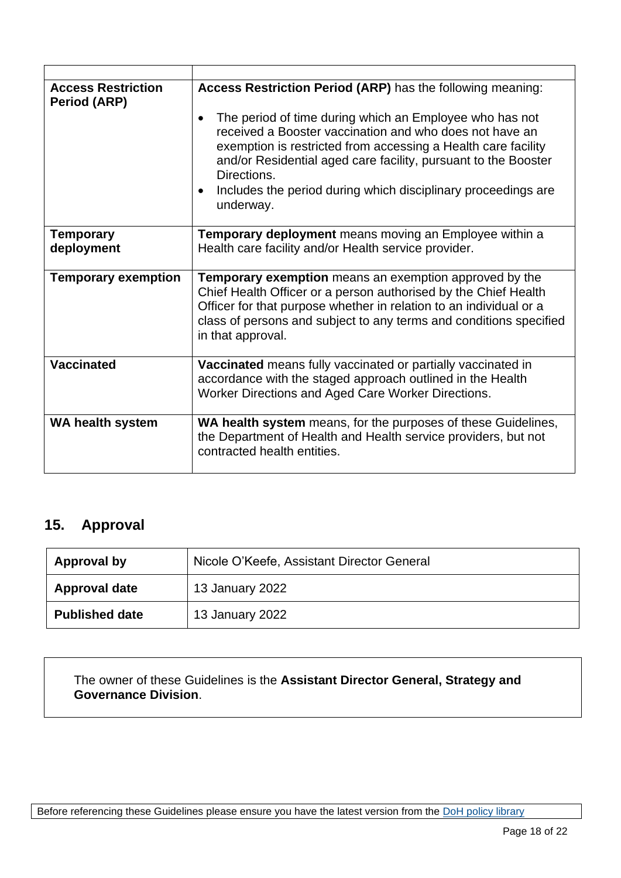| <b>Access Restriction</b><br>Period (ARP) | Access Restriction Period (ARP) has the following meaning:<br>The period of time during which an Employee who has not<br>$\bullet$<br>received a Booster vaccination and who does not have an<br>exemption is restricted from accessing a Health care facility<br>and/or Residential aged care facility, pursuant to the Booster<br>Directions.<br>Includes the period during which disciplinary proceedings are<br>$\bullet$<br>underway. |
|-------------------------------------------|--------------------------------------------------------------------------------------------------------------------------------------------------------------------------------------------------------------------------------------------------------------------------------------------------------------------------------------------------------------------------------------------------------------------------------------------|
| <b>Temporary</b>                          | Temporary deployment means moving an Employee within a                                                                                                                                                                                                                                                                                                                                                                                     |
| deployment                                | Health care facility and/or Health service provider.                                                                                                                                                                                                                                                                                                                                                                                       |
| <b>Temporary exemption</b>                | <b>Temporary exemption</b> means an exemption approved by the<br>Chief Health Officer or a person authorised by the Chief Health<br>Officer for that purpose whether in relation to an individual or a<br>class of persons and subject to any terms and conditions specified<br>in that approval.                                                                                                                                          |
| <b>Vaccinated</b>                         | Vaccinated means fully vaccinated or partially vaccinated in<br>accordance with the staged approach outlined in the Health<br>Worker Directions and Aged Care Worker Directions.                                                                                                                                                                                                                                                           |
| <b>WA health system</b>                   | WA health system means, for the purposes of these Guidelines,<br>the Department of Health and Health service providers, but not<br>contracted health entities.                                                                                                                                                                                                                                                                             |

# **15. Approval**

| Approval by           | Nicole O'Keefe, Assistant Director General |  |  |
|-----------------------|--------------------------------------------|--|--|
| <b>Approval date</b>  | 13 January 2022                            |  |  |
| <b>Published date</b> | 13 January 2022                            |  |  |

The owner of these Guidelines is the **Assistant Director General, Strategy and Governance Division**.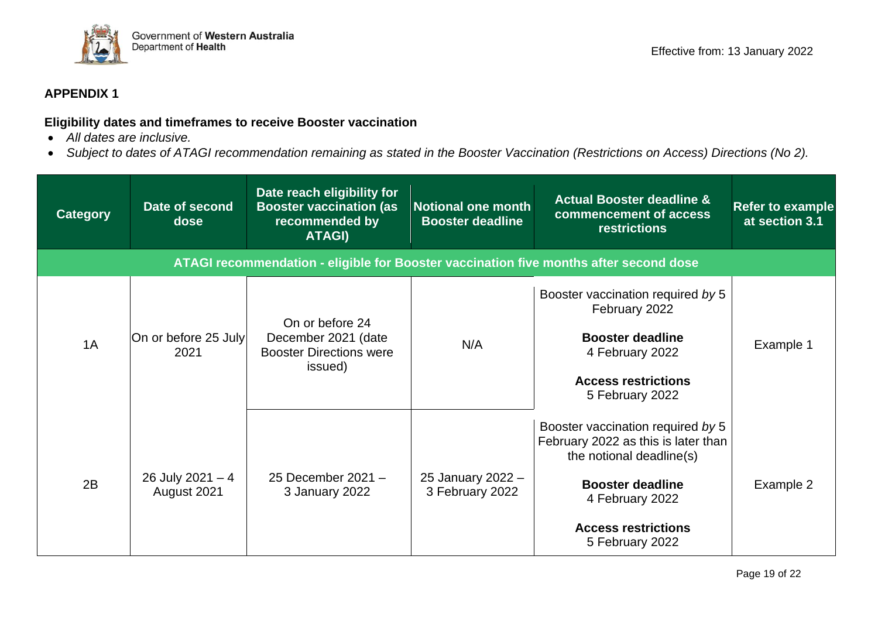

### **APPENDIX 1**

#### **Eligibility dates and timeframes to receive Booster vaccination**

- *All dates are inclusive.*
- *Subject to dates of ATAGI recommendation remaining as stated in the Booster Vaccination (Restrictions on Access) Directions (No 2).*

| <b>Category</b> | Date of second<br>dose           | Date reach eligibility for<br><b>Booster vaccination (as</b><br>recommended by<br>ATAGI) | <b>Notional one month</b><br><b>Booster deadline</b> | <b>Actual Booster deadline &amp;</b><br>commencement of access<br><b>restrictions</b>                                                                                                               | <b>Refer to example</b><br>at section 3.1 |
|-----------------|----------------------------------|------------------------------------------------------------------------------------------|------------------------------------------------------|-----------------------------------------------------------------------------------------------------------------------------------------------------------------------------------------------------|-------------------------------------------|
|                 |                                  |                                                                                          |                                                      | ATAGI recommendation - eligible for Booster vaccination five months after second dose                                                                                                               |                                           |
| 1A              | On or before 25 July<br>2021     | On or before 24<br>December 2021 (date<br><b>Booster Directions were</b><br>issued)      | N/A                                                  | Booster vaccination required by 5<br>February 2022<br><b>Booster deadline</b><br>4 February 2022<br><b>Access restrictions</b><br>5 February 2022                                                   | Example 1                                 |
| 2B              | 26 July 2021 $-4$<br>August 2021 | 25 December 2021 -<br>3 January 2022                                                     | 25 January 2022 -<br>3 February 2022                 | Booster vaccination required by 5<br>February 2022 as this is later than<br>the notional deadline(s)<br><b>Booster deadline</b><br>4 February 2022<br><b>Access restrictions</b><br>5 February 2022 | Example 2                                 |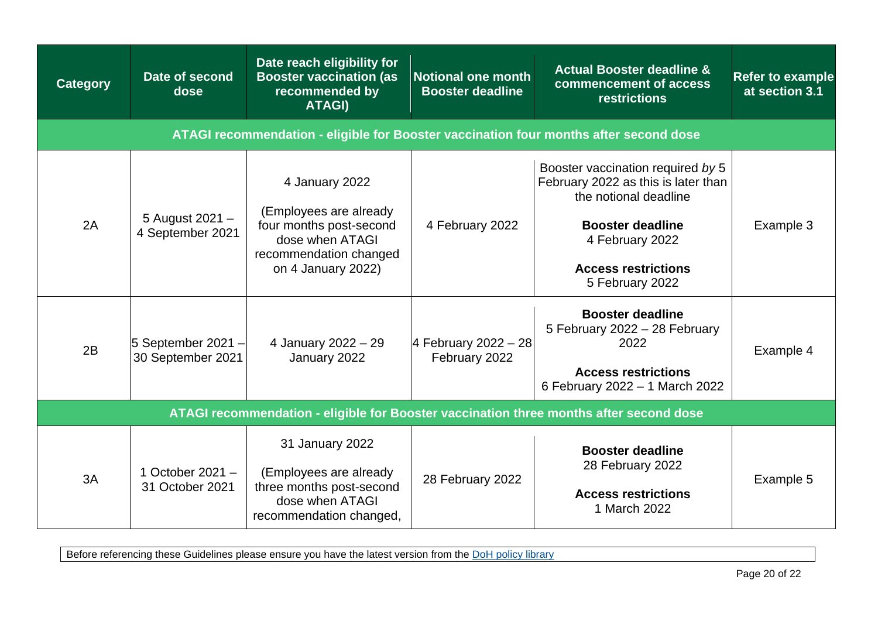| <b>Category</b>                                                                        | Date of second<br>dose                  | Date reach eligibility for<br><b>Booster vaccination (as</b><br>recommended by<br><b>ATAGI)</b>                                        | <b>Notional one month</b><br><b>Booster deadline</b> | <b>Actual Booster deadline &amp;</b><br>commencement of access<br>restrictions                                                                                                                   | <b>Refer to example</b><br>at section 3.1 |  |  |  |  |  |
|----------------------------------------------------------------------------------------|-----------------------------------------|----------------------------------------------------------------------------------------------------------------------------------------|------------------------------------------------------|--------------------------------------------------------------------------------------------------------------------------------------------------------------------------------------------------|-------------------------------------------|--|--|--|--|--|
| ATAGI recommendation - eligible for Booster vaccination four months after second dose  |                                         |                                                                                                                                        |                                                      |                                                                                                                                                                                                  |                                           |  |  |  |  |  |
| 2A                                                                                     | 5 August 2021 -<br>4 September 2021     | 4 January 2022<br>(Employees are already<br>four months post-second<br>dose when ATAGI<br>recommendation changed<br>on 4 January 2022) | 4 February 2022                                      | Booster vaccination required by 5<br>February 2022 as this is later than<br>the notional deadline<br><b>Booster deadline</b><br>4 February 2022<br><b>Access restrictions</b><br>5 February 2022 | Example 3                                 |  |  |  |  |  |
| 2B                                                                                     | 5 September 2021 -<br>30 September 2021 | 4 January 2022 - 29<br>January 2022                                                                                                    | 4 February 2022 - 28<br>February 2022                | <b>Booster deadline</b><br>5 February 2022 - 28 February<br>2022<br><b>Access restrictions</b><br>6 February 2022 - 1 March 2022                                                                 | Example 4                                 |  |  |  |  |  |
| ATAGI recommendation - eligible for Booster vaccination three months after second dose |                                         |                                                                                                                                        |                                                      |                                                                                                                                                                                                  |                                           |  |  |  |  |  |
| 3A                                                                                     | 1 October 2021 $-$<br>31 October 2021   | 31 January 2022<br>(Employees are already<br>three months post-second<br>dose when ATAGI<br>recommendation changed,                    | 28 February 2022                                     | <b>Booster deadline</b><br>28 February 2022<br><b>Access restrictions</b><br>1 March 2022                                                                                                        | Example 5                                 |  |  |  |  |  |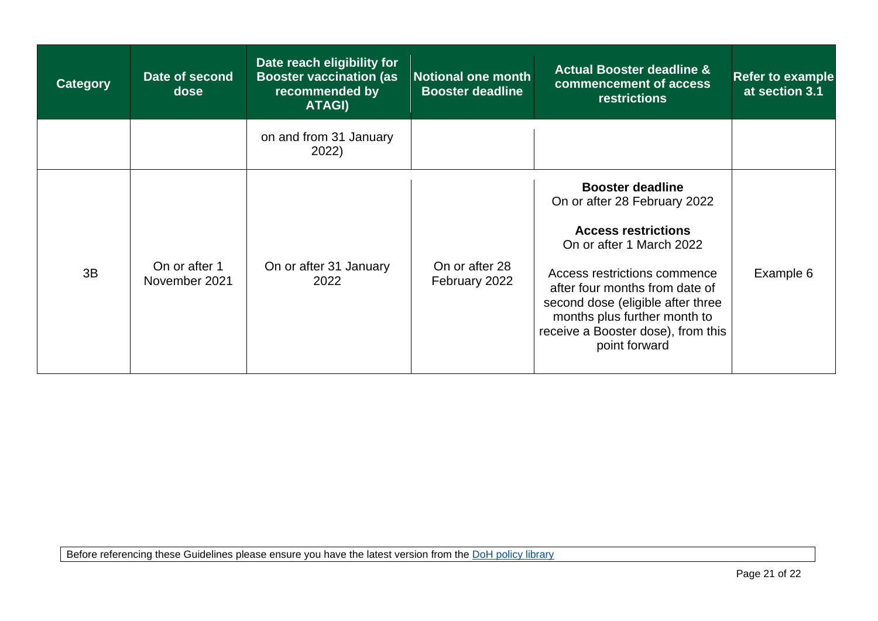| <b>Category</b> | Date of second<br>dose         | Date reach eligibility for<br><b>Booster vaccination (as</b><br>recommended by<br>ATAGI) | <b>Notional one month</b><br><b>Booster deadline</b> | <b>Actual Booster deadline &amp;</b><br>commencement of access<br><b>restrictions</b>                                                                                                                                                                                                                           | <b>Refer to example</b><br>at section 3.1 |
|-----------------|--------------------------------|------------------------------------------------------------------------------------------|------------------------------------------------------|-----------------------------------------------------------------------------------------------------------------------------------------------------------------------------------------------------------------------------------------------------------------------------------------------------------------|-------------------------------------------|
|                 |                                | on and from 31 January<br>2022)                                                          |                                                      |                                                                                                                                                                                                                                                                                                                 |                                           |
| 3B              | On or after 1<br>November 2021 | On or after 31 January<br>2022                                                           | On or after 28<br>February 2022                      | <b>Booster deadline</b><br>On or after 28 February 2022<br><b>Access restrictions</b><br>On or after 1 March 2022<br>Access restrictions commence<br>after four months from date of<br>second dose (eligible after three<br>months plus further month to<br>receive a Booster dose), from this<br>point forward | Example 6                                 |